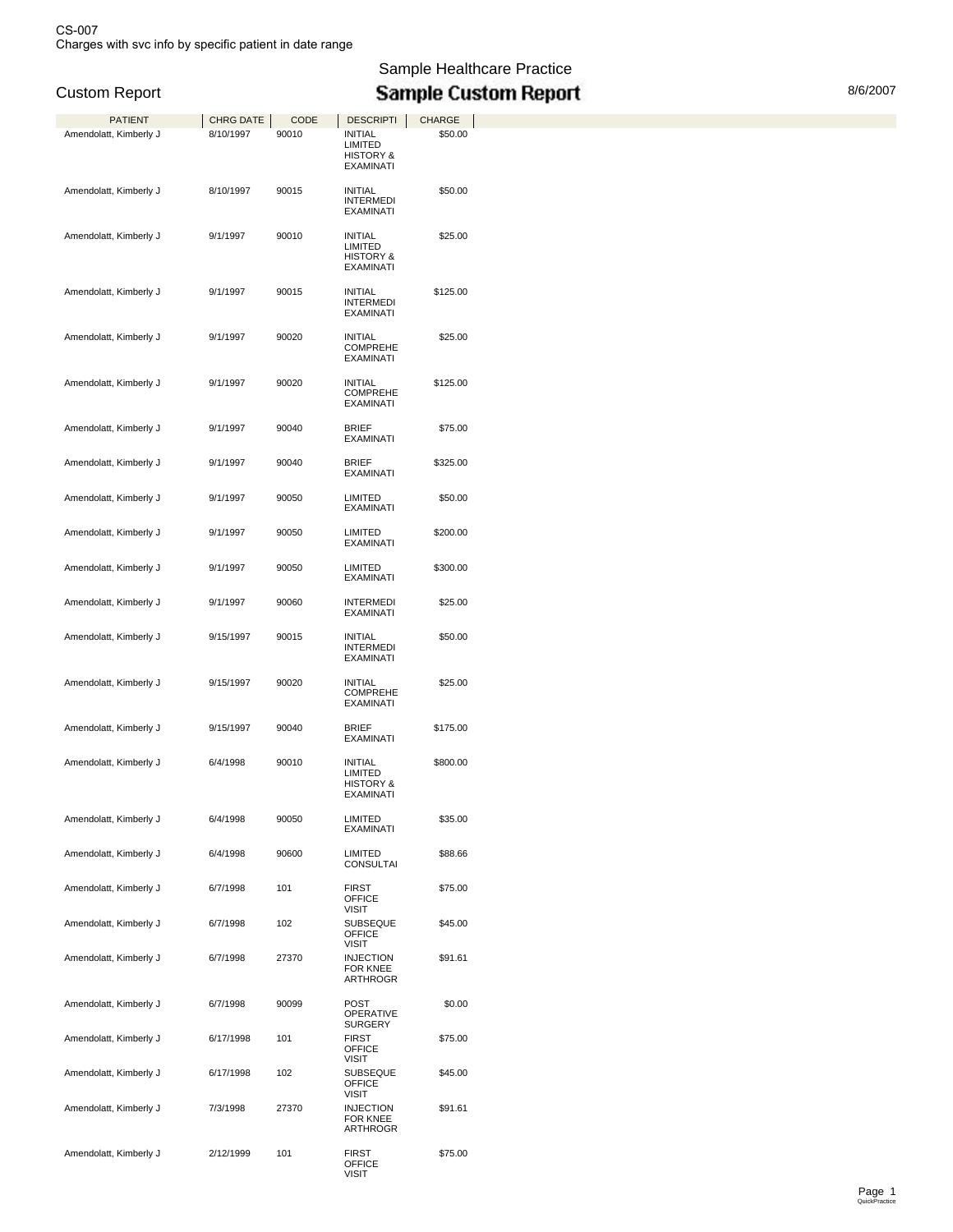Sample Healthcare Practice Custom Report **New Access 10 Custom Report** Report **Custom Report** 8/6/2007

| PATIENT                | <b>CHRG DATE</b> | CODE  | <b>DESCRIPTI</b>                                                      | <b>CHARGE</b> |
|------------------------|------------------|-------|-----------------------------------------------------------------------|---------------|
| Amendolatt, Kimberly J | 8/10/1997        | 90010 | INITIAL<br>LIMITED<br><b>HISTORY &amp;</b><br><b>EXAMINATI</b>        | \$50.00       |
| Amendolatt, Kimberly J | 8/10/1997        | 90015 | <b>INITIAL</b><br><b>INTERMEDI</b><br><b>EXAMINATI</b>                | \$50.00       |
| Amendolatt, Kimberly J | 9/1/1997         | 90010 | <b>INITIAL</b><br>LIMITED<br><b>HISTORY &amp;</b><br><b>EXAMINATI</b> | \$25.00       |
| Amendolatt, Kimberly J | 9/1/1997         | 90015 | <b>INITIAL</b><br><b>INTERMEDI</b><br><b>EXAMINATI</b>                | \$125.00      |
| Amendolatt, Kimberly J | 9/1/1997         | 90020 | INITIAL<br><b>COMPREHE</b><br><b>EXAMINATI</b>                        | \$25.00       |
| Amendolatt, Kimberly J | 9/1/1997         | 90020 | <b>INITIAL</b><br><b>COMPREHE</b><br><b>EXAMINATI</b>                 | \$125.00      |
| Amendolatt, Kimberly J | 9/1/1997         | 90040 | <b>BRIEF</b><br><b>EXAMINATI</b>                                      | \$75.00       |
| Amendolatt, Kimberly J | 9/1/1997         | 90040 | <b>BRIEF</b><br>EXAMINATI                                             | \$325.00      |
| Amendolatt, Kimberly J | 9/1/1997         | 90050 | LIMITED<br><b>EXAMINATI</b>                                           | \$50.00       |
| Amendolatt, Kimberly J | 9/1/1997         | 90050 | <b>LIMITED</b><br>EXAMINATI                                           | \$200.00      |
| Amendolatt, Kimberly J | 9/1/1997         | 90050 | LIMITED<br><b>EXAMINATI</b>                                           | \$300.00      |
| Amendolatt, Kimberly J | 9/1/1997         | 90060 | <b>INTERMEDI</b><br>EXAMINATI                                         | \$25.00       |
| Amendolatt, Kimberly J | 9/15/1997        | 90015 | <b>INITIAL</b><br><b>INTERMEDI</b><br><b>EXAMINATI</b>                | \$50.00       |
| Amendolatt, Kimberly J | 9/15/1997        | 90020 | <b>INITIAL</b><br><b>COMPREHE</b><br><b>EXAMINATI</b>                 | \$25.00       |
| Amendolatt, Kimberly J | 9/15/1997        | 90040 | <b>BRIEF</b><br><b>EXAMINATI</b>                                      | \$175.00      |
| Amendolatt, Kimberly J | 6/4/1998         | 90010 | <b>INITIAL</b><br>LIMITED<br><b>HISTORY &amp;</b><br>EXAMINATI        | \$800.00      |
| Amendolatt, Kimberly J | 6/4/1998         | 90050 | LIMITED<br>EXAMINATI                                                  | \$35.00       |
| Amendolatt, Kimberly J | 6/4/1998         | 90600 | LIMITED<br><b>CONSULTAI</b>                                           | \$88.66       |
| Amendolatt, Kimberly J | 6/7/1998         | 101   | <b>FIRST</b><br><b>OFFICE</b><br><b>VISIT</b>                         | \$75.00       |
| Amendolatt, Kimberly J | 6/7/1998         | 102   | <b>SUBSEQUE</b><br>OFFICE<br>VISIT                                    | \$45.00       |
| Amendolatt, Kimberly J | 6/7/1998         | 27370 | <b>INJECTION</b><br><b>FOR KNEE</b><br>ARTHROGR                       | \$91.61       |
| Amendolatt, Kimberly J | 6/7/1998         | 90099 | <b>POST</b><br><b>OPERATIVE</b><br><b>SURGERY</b>                     | \$0.00        |
| Amendolatt, Kimberly J | 6/17/1998        | 101   | <b>FIRST</b><br><b>OFFICE</b><br><b>VISIT</b>                         | \$75.00       |
| Amendolatt, Kimberly J | 6/17/1998        | 102   | <b>SUBSEQUE</b><br><b>OFFICE</b><br><b>VISIT</b>                      | \$45.00       |
| Amendolatt, Kimberly J | 7/3/1998         | 27370 | <b>INJECTION</b><br><b>FOR KNEE</b><br>ARTHROGR                       | \$91.61       |
| Amendolatt, Kimberly J | 2/12/1999        | 101   | <b>FIRST</b><br><b>OFFICE</b><br><b>VISIT</b>                         | \$75.00       |